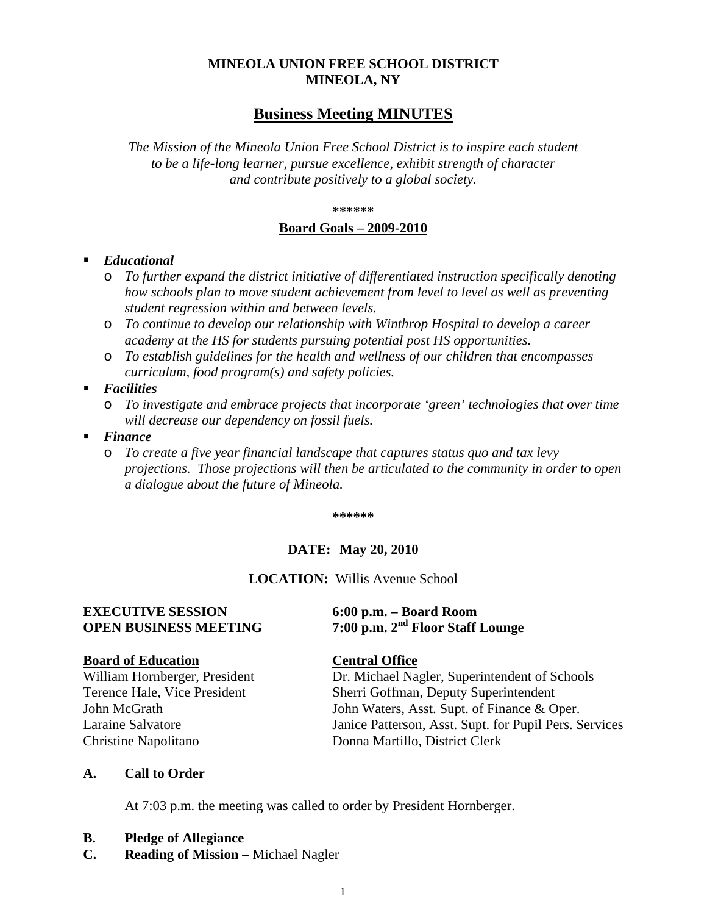# **MINEOLA UNION FREE SCHOOL DISTRICT MINEOLA, NY**

# **Business Meeting MINUTES**

*The Mission of the Mineola Union Free School District is to inspire each student to be a life-long learner, pursue excellence, exhibit strength of character and contribute positively to a global society.*

#### **\*\*\*\*\*\***

#### **Board Goals – 2009-2010**

#### *Educational*

- o *To further expand the district initiative of differentiated instruction specifically denoting how schools plan to move student achievement from level to level as well as preventing student regression within and between levels.*
- o *To continue to develop our relationship with Winthrop Hospital to develop a career academy at the HS for students pursuing potential post HS opportunities.*
- o *To establish guidelines for the health and wellness of our children that encompasses curriculum, food program(s) and safety policies.*
- *Facilities* 
	- o *To investigate and embrace projects that incorporate 'green' technologies that over time will decrease our dependency on fossil fuels.*
- *Finance* 
	- o *To create a five year financial landscape that captures status quo and tax levy projections. Those projections will then be articulated to the community in order to open a dialogue about the future of Mineola.*

**\*\*\*\*\*\***

#### **DATE: May 20, 2010**

**LOCATION:** Willis Avenue School

# **EXECUTIVE SESSION 6:00 p.m. – Board Room**

#### **Board of Education Central Office**

Christine Napolitano Donna Martillo, District Clerk

# **OPEN BUSINESS MEETING 7:00 p.m. 2nd Floor Staff Lounge**

William Hornberger, President Dr. Michael Nagler, Superintendent of Schools Terence Hale, Vice President Sherri Goffman, Deputy Superintendent John McGrath John Waters, Asst. Supt. of Finance & Oper. Laraine Salvatore Janice Patterson, Asst. Supt. for Pupil Pers. Services

#### **A. Call to Order**

At 7:03 p.m. the meeting was called to order by President Hornberger.

#### **B. Pledge of Allegiance**

**C. Reading of Mission –** Michael Nagler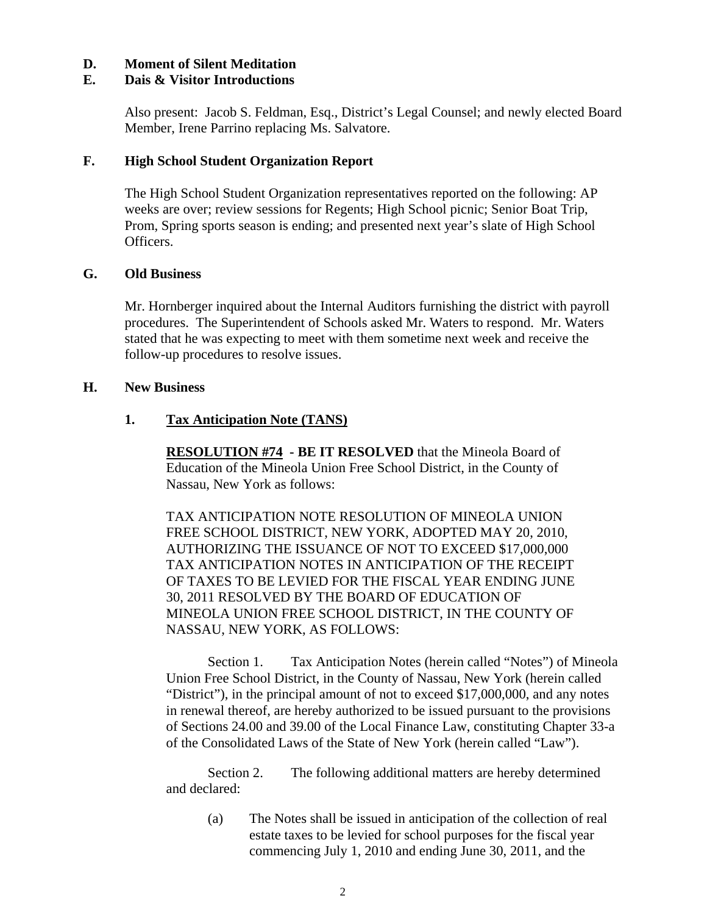#### **D. Moment of Silent Meditation**

#### **E. Dais & Visitor Introductions**

Also present: Jacob S. Feldman, Esq., District's Legal Counsel; and newly elected Board Member, Irene Parrino replacing Ms. Salvatore.

#### **F. High School Student Organization Report**

The High School Student Organization representatives reported on the following: AP weeks are over; review sessions for Regents; High School picnic; Senior Boat Trip, Prom, Spring sports season is ending; and presented next year's slate of High School Officers.

### **G. Old Business**

Mr. Hornberger inquired about the Internal Auditors furnishing the district with payroll procedures. The Superintendent of Schools asked Mr. Waters to respond. Mr. Waters stated that he was expecting to meet with them sometime next week and receive the follow-up procedures to resolve issues.

#### **H. New Business**

#### **1. Tax Anticipation Note (TANS)**

**RESOLUTION #74 - BE IT RESOLVED** that the Mineola Board of Education of the Mineola Union Free School District, in the County of Nassau, New York as follows:

TAX ANTICIPATION NOTE RESOLUTION OF MINEOLA UNION FREE SCHOOL DISTRICT, NEW YORK, ADOPTED MAY 20, 2010, AUTHORIZING THE ISSUANCE OF NOT TO EXCEED \$17,000,000 TAX ANTICIPATION NOTES IN ANTICIPATION OF THE RECEIPT OF TAXES TO BE LEVIED FOR THE FISCAL YEAR ENDING JUNE 30, 2011 RESOLVED BY THE BOARD OF EDUCATION OF MINEOLA UNION FREE SCHOOL DISTRICT, IN THE COUNTY OF NASSAU, NEW YORK, AS FOLLOWS:

Section 1. Tax Anticipation Notes (herein called "Notes") of Mineola Union Free School District, in the County of Nassau, New York (herein called "District"), in the principal amount of not to exceed \$17,000,000, and any notes in renewal thereof, are hereby authorized to be issued pursuant to the provisions of Sections 24.00 and 39.00 of the Local Finance Law, constituting Chapter 33-a of the Consolidated Laws of the State of New York (herein called "Law").

Section 2. The following additional matters are hereby determined and declared:

(a) The Notes shall be issued in anticipation of the collection of real estate taxes to be levied for school purposes for the fiscal year commencing July 1, 2010 and ending June 30, 2011, and the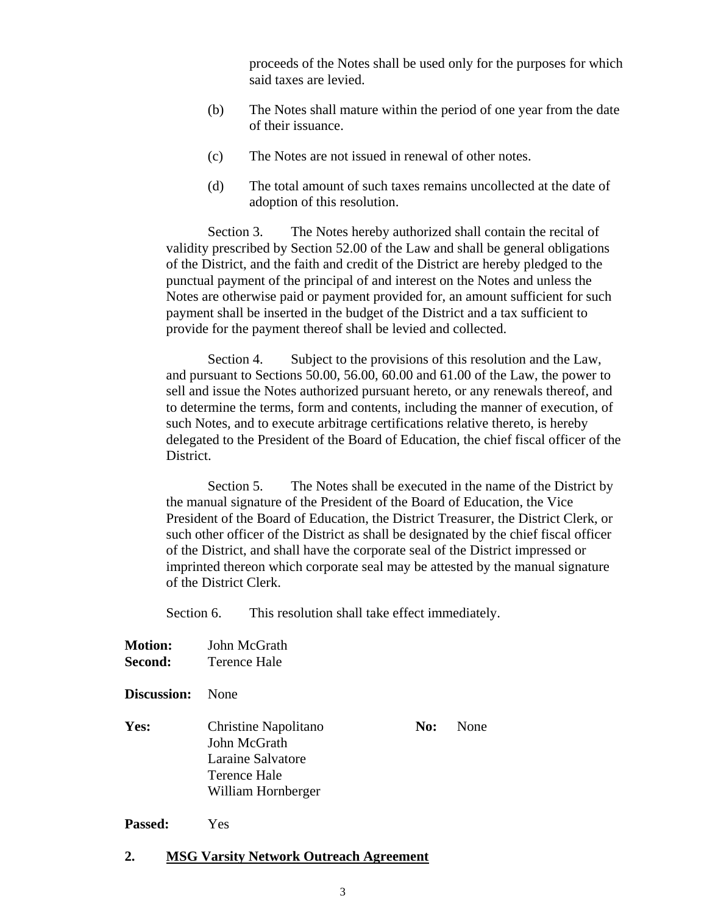proceeds of the Notes shall be used only for the purposes for which said taxes are levied.

- (b) The Notes shall mature within the period of one year from the date of their issuance.
- (c) The Notes are not issued in renewal of other notes.
- (d) The total amount of such taxes remains uncollected at the date of adoption of this resolution.

Section 3. The Notes hereby authorized shall contain the recital of validity prescribed by Section 52.00 of the Law and shall be general obligations of the District, and the faith and credit of the District are hereby pledged to the punctual payment of the principal of and interest on the Notes and unless the Notes are otherwise paid or payment provided for, an amount sufficient for such payment shall be inserted in the budget of the District and a tax sufficient to provide for the payment thereof shall be levied and collected.

Section 4. Subject to the provisions of this resolution and the Law, and pursuant to Sections 50.00, 56.00, 60.00 and 61.00 of the Law, the power to sell and issue the Notes authorized pursuant hereto, or any renewals thereof, and to determine the terms, form and contents, including the manner of execution, of such Notes, and to execute arbitrage certifications relative thereto, is hereby delegated to the President of the Board of Education, the chief fiscal officer of the District.

Section 5. The Notes shall be executed in the name of the District by the manual signature of the President of the Board of Education, the Vice President of the Board of Education, the District Treasurer, the District Clerk, or such other officer of the District as shall be designated by the chief fiscal officer of the District, and shall have the corporate seal of the District impressed or imprinted thereon which corporate seal may be attested by the manual signature of the District Clerk.

Section 6. This resolution shall take effect immediately.

**Motion:** John McGrath **Second:** Terence Hale

**Discussion:** None

**Yes:** Christine Napolitano **No:** None John McGrath Laraine Salvatore Terence Hale William Hornberger

**Passed:** Yes

#### **2. MSG Varsity Network Outreach Agreement**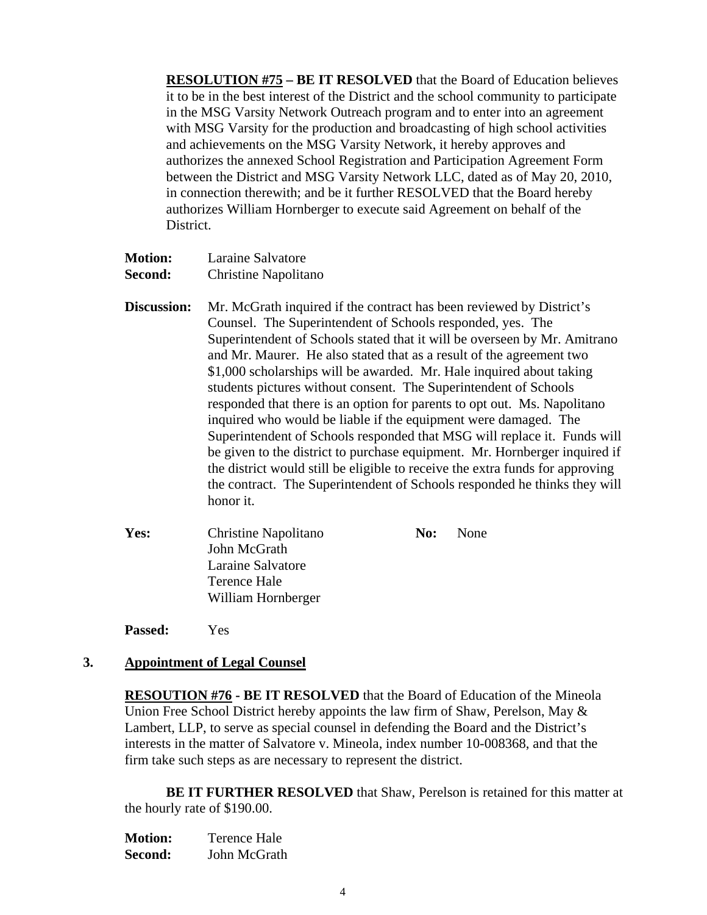**RESOLUTION #75 – BE IT RESOLVED** that the Board of Education believes it to be in the best interest of the District and the school community to participate in the MSG Varsity Network Outreach program and to enter into an agreement with MSG Varsity for the production and broadcasting of high school activities and achievements on the MSG Varsity Network, it hereby approves and authorizes the annexed School Registration and Participation Agreement Form between the District and MSG Varsity Network LLC, dated as of May 20, 2010, in connection therewith; and be it further RESOLVED that the Board hereby authorizes William Hornberger to execute said Agreement on behalf of the District.

| <b>Motion:</b> | Laraine Salvatore           |
|----------------|-----------------------------|
| <b>Second:</b> | <b>Christine Napolitano</b> |

- **Discussion:** Mr. McGrath inquired if the contract has been reviewed by District's Counsel. The Superintendent of Schools responded, yes. The Superintendent of Schools stated that it will be overseen by Mr. Amitrano and Mr. Maurer. He also stated that as a result of the agreement two \$1,000 scholarships will be awarded. Mr. Hale inquired about taking students pictures without consent. The Superintendent of Schools responded that there is an option for parents to opt out. Ms. Napolitano inquired who would be liable if the equipment were damaged. The Superintendent of Schools responded that MSG will replace it. Funds will be given to the district to purchase equipment. Mr. Hornberger inquired if the district would still be eligible to receive the extra funds for approving the contract. The Superintendent of Schools responded he thinks they will honor it.
- Yes: Christine Napolitano **No:** None John McGrath Laraine Salvatore Terence Hale William Hornberger

**Passed:** Yes

# **3. Appointment of Legal Counsel**

**RESOUTION #76 - BE IT RESOLVED** that the Board of Education of the Mineola Union Free School District hereby appoints the law firm of Shaw, Perelson, May & Lambert, LLP, to serve as special counsel in defending the Board and the District's interests in the matter of Salvatore v. Mineola, index number 10-008368, and that the firm take such steps as are necessary to represent the district.

**BE IT FURTHER RESOLVED** that Shaw, Perelson is retained for this matter at the hourly rate of \$190.00.

| <b>Motion:</b> | <b>Terence Hale</b> |
|----------------|---------------------|
| Second:        | John McGrath        |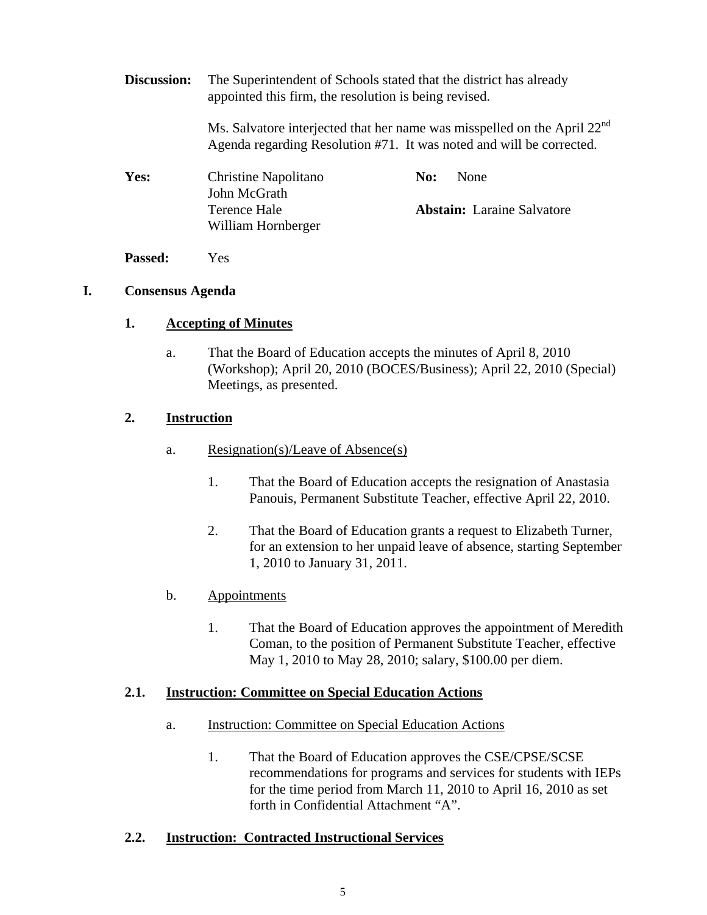**Discussion:** The Superintendent of Schools stated that the district has already appointed this firm, the resolution is being revised.

> Ms. Salvatore interjected that her name was misspelled on the April 22<sup>nd</sup> Agenda regarding Resolution #71. It was noted and will be corrected.

| <b>Yes:</b> | Christine Napolitano | <b>None</b><br>No:                |
|-------------|----------------------|-----------------------------------|
|             | John McGrath         |                                   |
|             | Terence Hale         | <b>Abstain:</b> Laraine Salvatore |
|             | William Hornberger   |                                   |
|             |                      |                                   |

**Passed:** Yes

### **I. Consensus Agenda**

### **1. Accepting of Minutes**

a. That the Board of Education accepts the minutes of April 8, 2010 (Workshop); April 20, 2010 (BOCES/Business); April 22, 2010 (Special) Meetings, as presented.

# **2. Instruction**

- a. Resignation(s)/Leave of Absence(s)
	- 1. That the Board of Education accepts the resignation of Anastasia Panouis, Permanent Substitute Teacher, effective April 22, 2010.
	- 2. That the Board of Education grants a request to Elizabeth Turner, for an extension to her unpaid leave of absence, starting September 1, 2010 to January 31, 2011.

# b. Appointments

1. That the Board of Education approves the appointment of Meredith Coman, to the position of Permanent Substitute Teacher, effective May 1, 2010 to May 28, 2010; salary, \$100.00 per diem.

#### **2.1. Instruction: Committee on Special Education Actions**

- a. Instruction: Committee on Special Education Actions
	- 1. That the Board of Education approves the CSE/CPSE/SCSE recommendations for programs and services for students with IEPs for the time period from March 11, 2010 to April 16, 2010 as set forth in Confidential Attachment "A".

# **2.2. Instruction: Contracted Instructional Services**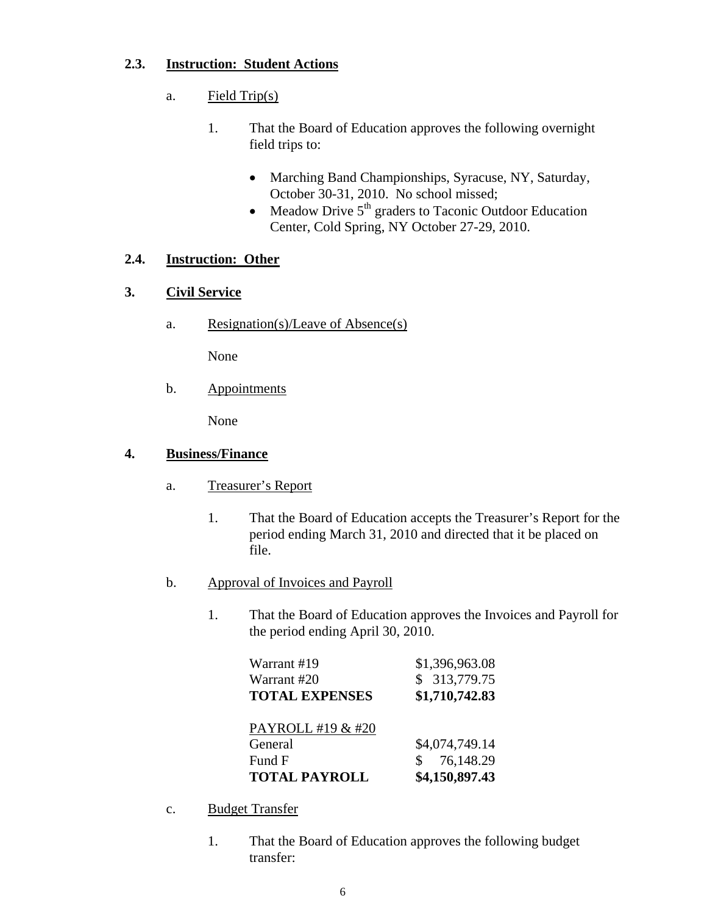# **2.3. Instruction: Student Actions**

- a. Field Trip(s)
	- 1. That the Board of Education approves the following overnight field trips to:
		- Marching Band Championships, Syracuse, NY, Saturday, October 30-31, 2010. No school missed;
		- Meadow Drive  $5<sup>th</sup>$  graders to Taconic Outdoor Education Center, Cold Spring, NY October 27-29, 2010.

# **2.4. Instruction: Other**

# **3. Civil Service**

a. Resignation(s)/Leave of Absence(s)

None

b. Appointments

None

# **4. Business/Finance**

- a. Treasurer's Report
	- 1. That the Board of Education accepts the Treasurer's Report for the period ending March 31, 2010 and directed that it be placed on file.
- b. Approval of Invoices and Payroll
	- 1. That the Board of Education approves the Invoices and Payroll for the period ending April 30, 2010.

| Warrant #19           | \$1,396,963.08              |
|-----------------------|-----------------------------|
| Warrant #20           | \$ 313,779.75               |
| <b>TOTAL EXPENSES</b> | \$1,710,742.83              |
|                       |                             |
| PAYROLL #19 & #20     |                             |
| General               | \$4,074,749.14              |
| Fund F                | 76,148.29<br>$\mathbb{S}^-$ |
| <b>TOTAL PAYROLL</b>  | \$4,150,897.43              |

- c. Budget Transfer
	- 1. That the Board of Education approves the following budget transfer: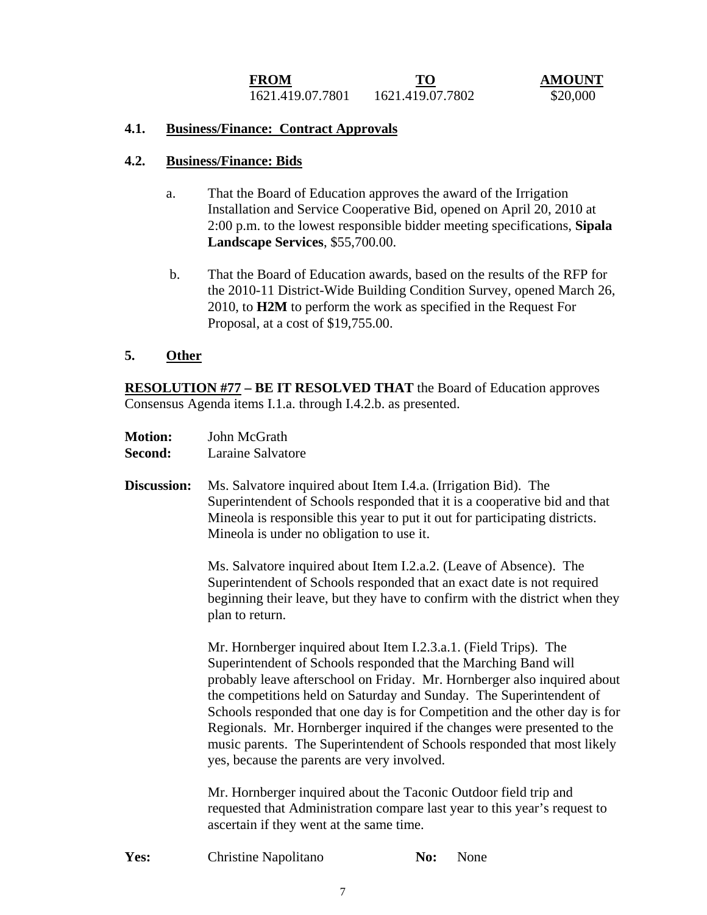**FROM**<br>1621.419.07.7801 1621.419.07.7802 520.000 1621.419.07.7801 1621.419.07.7802 \$20,000

#### **4.1. Business/Finance: Contract Approvals**

#### **4.2. Business/Finance: Bids**

- a. That the Board of Education approves the award of the Irrigation Installation and Service Cooperative Bid, opened on April 20, 2010 at 2:00 p.m. to the lowest responsible bidder meeting specifications, **Sipala Landscape Services**, \$55,700.00.
- b. That the Board of Education awards, based on the results of the RFP for the 2010-11 District-Wide Building Condition Survey, opened March 26, 2010, to **H2M** to perform the work as specified in the Request For Proposal, at a cost of \$19,755.00.

#### **5. Other**

**RESOLUTION #77 – BE IT RESOLVED THAT** the Board of Education approves Consensus Agenda items I.1.a. through I.4.2.b. as presented.

- **Motion:** John McGrath **Second:** Laraine Salvatore
- **Discussion:** Ms. Salvatore inquired about Item I.4.a. (Irrigation Bid). The Superintendent of Schools responded that it is a cooperative bid and that Mineola is responsible this year to put it out for participating districts. Mineola is under no obligation to use it.

Ms. Salvatore inquired about Item I.2.a.2. (Leave of Absence). The Superintendent of Schools responded that an exact date is not required beginning their leave, but they have to confirm with the district when they plan to return.

Mr. Hornberger inquired about Item I.2.3.a.1. (Field Trips). The Superintendent of Schools responded that the Marching Band will probably leave afterschool on Friday. Mr. Hornberger also inquired about the competitions held on Saturday and Sunday. The Superintendent of Schools responded that one day is for Competition and the other day is for Regionals. Mr. Hornberger inquired if the changes were presented to the music parents. The Superintendent of Schools responded that most likely yes, because the parents are very involved.

Mr. Hornberger inquired about the Taconic Outdoor field trip and requested that Administration compare last year to this year's request to ascertain if they went at the same time.

**Yes:** Christine Napolitano **No:** None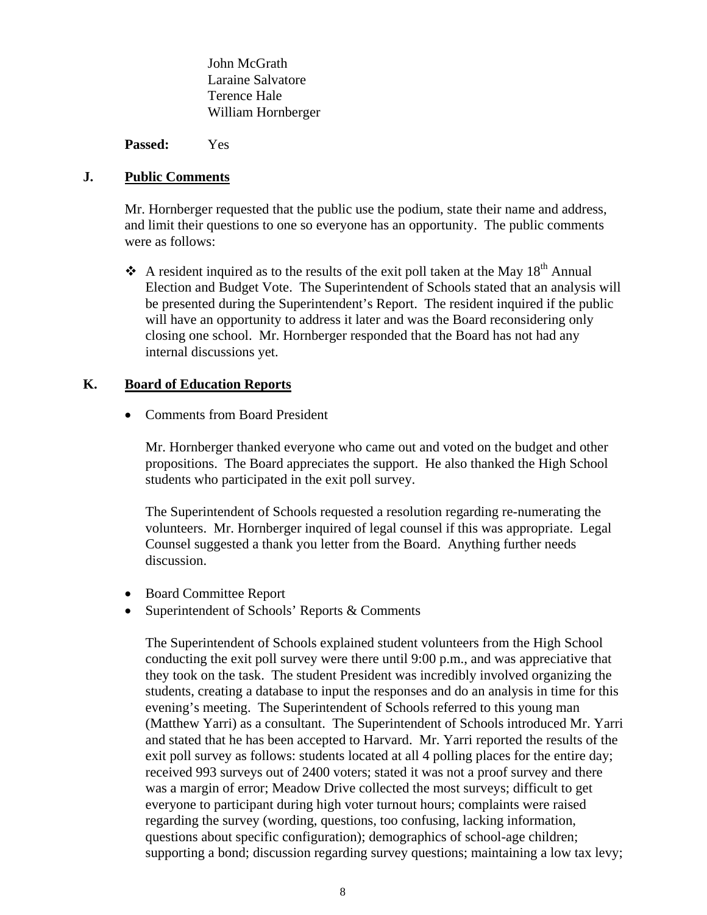John McGrath Laraine Salvatore Terence Hale William Hornberger

**Passed:** Yes

#### **J. Public Comments**

Mr. Hornberger requested that the public use the podium, state their name and address, and limit their questions to one so everyone has an opportunity. The public comments were as follows:

 $\div$  A resident inquired as to the results of the exit poll taken at the May 18<sup>th</sup> Annual Election and Budget Vote. The Superintendent of Schools stated that an analysis will be presented during the Superintendent's Report. The resident inquired if the public will have an opportunity to address it later and was the Board reconsidering only closing one school. Mr. Hornberger responded that the Board has not had any internal discussions yet.

### **K. Board of Education Reports**

• Comments from Board President

Mr. Hornberger thanked everyone who came out and voted on the budget and other propositions. The Board appreciates the support. He also thanked the High School students who participated in the exit poll survey.

The Superintendent of Schools requested a resolution regarding re-numerating the volunteers. Mr. Hornberger inquired of legal counsel if this was appropriate. Legal Counsel suggested a thank you letter from the Board. Anything further needs discussion.

- Board Committee Report
- Superintendent of Schools' Reports & Comments

The Superintendent of Schools explained student volunteers from the High School conducting the exit poll survey were there until 9:00 p.m., and was appreciative that they took on the task. The student President was incredibly involved organizing the students, creating a database to input the responses and do an analysis in time for this evening's meeting. The Superintendent of Schools referred to this young man (Matthew Yarri) as a consultant. The Superintendent of Schools introduced Mr. Yarri and stated that he has been accepted to Harvard. Mr. Yarri reported the results of the exit poll survey as follows: students located at all 4 polling places for the entire day; received 993 surveys out of 2400 voters; stated it was not a proof survey and there was a margin of error; Meadow Drive collected the most surveys; difficult to get everyone to participant during high voter turnout hours; complaints were raised regarding the survey (wording, questions, too confusing, lacking information, questions about specific configuration); demographics of school-age children; supporting a bond; discussion regarding survey questions; maintaining a low tax levy;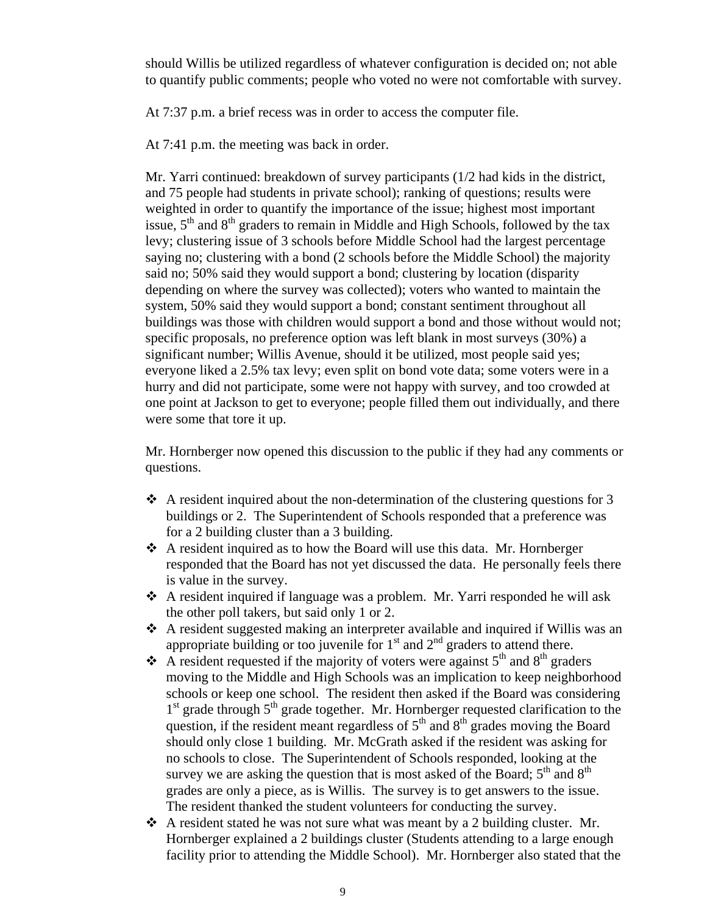should Willis be utilized regardless of whatever configuration is decided on; not able to quantify public comments; people who voted no were not comfortable with survey.

At 7:37 p.m. a brief recess was in order to access the computer file.

At 7:41 p.m. the meeting was back in order.

Mr. Yarri continued: breakdown of survey participants (1/2 had kids in the district, and 75 people had students in private school); ranking of questions; results were weighted in order to quantify the importance of the issue; highest most important issue,  $5<sup>th</sup>$  and  $8<sup>th</sup>$  graders to remain in Middle and High Schools, followed by the tax levy; clustering issue of 3 schools before Middle School had the largest percentage saying no; clustering with a bond (2 schools before the Middle School) the majority said no; 50% said they would support a bond; clustering by location (disparity depending on where the survey was collected); voters who wanted to maintain the system, 50% said they would support a bond; constant sentiment throughout all buildings was those with children would support a bond and those without would not; specific proposals, no preference option was left blank in most surveys (30%) a significant number; Willis Avenue, should it be utilized, most people said yes; everyone liked a 2.5% tax levy; even split on bond vote data; some voters were in a hurry and did not participate, some were not happy with survey, and too crowded at one point at Jackson to get to everyone; people filled them out individually, and there were some that tore it up.

Mr. Hornberger now opened this discussion to the public if they had any comments or questions.

- $\triangle$  A resident inquired about the non-determination of the clustering questions for 3 buildings or 2. The Superintendent of Schools responded that a preference was for a 2 building cluster than a 3 building.
- $\triangle$  A resident inquired as to how the Board will use this data. Mr. Hornberger responded that the Board has not yet discussed the data. He personally feels there is value in the survey.
- A resident inquired if language was a problem. Mr. Yarri responded he will ask the other poll takers, but said only 1 or 2.
- A resident suggested making an interpreter available and inquired if Willis was an appropriate building or too juvenile for  $1<sup>st</sup>$  and  $2<sup>nd</sup>$  graders to attend there.
- A resident requested if the majority of voters were against  $5<sup>th</sup>$  and  $8<sup>th</sup>$  graders moving to the Middle and High Schools was an implication to keep neighborhood schools or keep one school. The resident then asked if the Board was considering  $1<sup>st</sup>$  grade through  $5<sup>th</sup>$  grade together. Mr. Hornberger requested clarification to the question, if the resident meant regardless of  $5<sup>th</sup>$  and  $8<sup>th</sup>$  grades moving the Board should only close 1 building. Mr. McGrath asked if the resident was asking for no schools to close. The Superintendent of Schools responded, looking at the survey we are asking the question that is most asked of the Board;  $5<sup>th</sup>$  and  $8<sup>th</sup>$ grades are only a piece, as is Willis. The survey is to get answers to the issue. The resident thanked the student volunteers for conducting the survey.
- $\triangle$  A resident stated he was not sure what was meant by a 2 building cluster. Mr. Hornberger explained a 2 buildings cluster (Students attending to a large enough facility prior to attending the Middle School). Mr. Hornberger also stated that the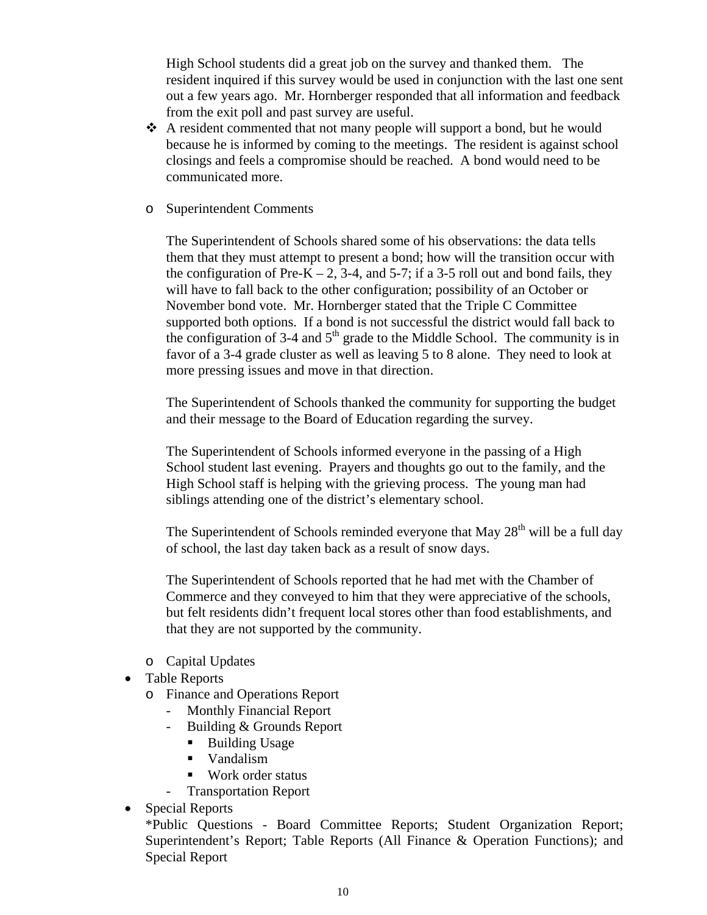High School students did a great job on the survey and thanked them. The resident inquired if this survey would be used in conjunction with the last one sent out a few years ago. Mr. Hornberger responded that all information and feedback from the exit poll and past survey are useful.

- $\triangle$  A resident commented that not many people will support a bond, but he would because he is informed by coming to the meetings. The resident is against school closings and feels a compromise should be reached. A bond would need to be communicated more.
- o Superintendent Comments

The Superintendent of Schools shared some of his observations: the data tells them that they must attempt to present a bond; how will the transition occur with the configuration of Pre-K – 2, 3-4, and 5-7; if a 3-5 roll out and bond fails, they will have to fall back to the other configuration; possibility of an October or November bond vote. Mr. Hornberger stated that the Triple C Committee supported both options. If a bond is not successful the district would fall back to the configuration of 3-4 and  $5<sup>th</sup>$  grade to the Middle School. The community is in favor of a 3-4 grade cluster as well as leaving 5 to 8 alone. They need to look at more pressing issues and move in that direction.

The Superintendent of Schools thanked the community for supporting the budget and their message to the Board of Education regarding the survey.

The Superintendent of Schools informed everyone in the passing of a High School student last evening. Prayers and thoughts go out to the family, and the High School staff is helping with the grieving process. The young man had siblings attending one of the district's elementary school.

The Superintendent of Schools reminded everyone that May  $28<sup>th</sup>$  will be a full day of school, the last day taken back as a result of snow days.

The Superintendent of Schools reported that he had met with the Chamber of Commerce and they conveyed to him that they were appreciative of the schools, but felt residents didn't frequent local stores other than food establishments, and that they are not supported by the community.

- o Capital Updates
- Table Reports
	- o Finance and Operations Report
		- Monthly Financial Report
		- Building & Grounds Report
			- Building Usage
			- **Vandalism**
			- Work order status
			- Transportation Report
- Special Reports

\*Public Questions - Board Committee Reports; Student Organization Report; Superintendent's Report; Table Reports (All Finance & Operation Functions); and Special Report